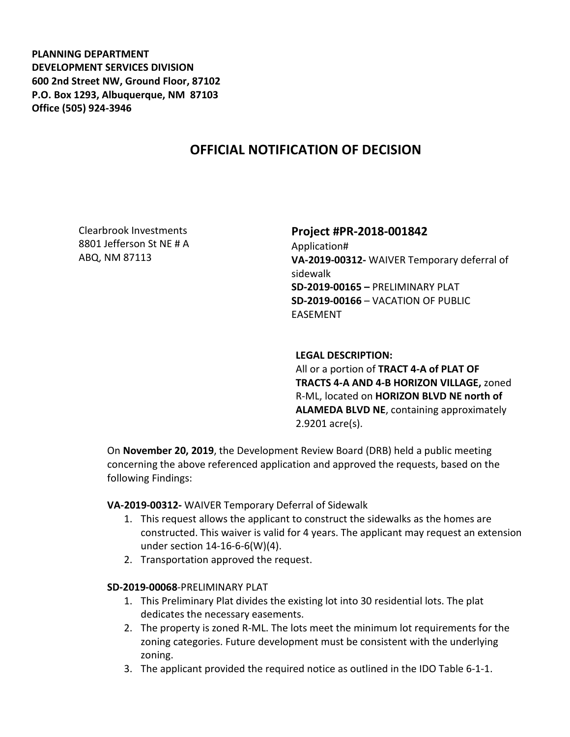**PLANNING DEPARTMENT DEVELOPMENT SERVICES DIVISION 600 2nd Street NW, Ground Floor, 87102 P.O. Box 1293, Albuquerque, NM 87103 Office (505) 924-3946** 

# **OFFICIAL NOTIFICATION OF DECISION**

Clearbrook Investments 8801 Jefferson St NE # A ABQ, NM 87113

## **Project #PR-2018-001842**

Application# **VA-2019-00312-** WAIVER Temporary deferral of sidewalk **SD-2019-00165 –** PRELIMINARY PLAT **SD-2019-00166** – VACATION OF PUBLIC EASEMENT

#### **LEGAL DESCRIPTION:**

All or a portion of **TRACT 4-A of PLAT OF TRACTS 4-A AND 4-B HORIZON VILLAGE,** zoned R-ML, located on **HORIZON BLVD NE north of ALAMEDA BLVD NE**, containing approximately 2.9201 acre(s).

On **November 20, 2019**, the Development Review Board (DRB) held a public meeting concerning the above referenced application and approved the requests, based on the following Findings:

### **VA-2019-00312-** WAIVER Temporary Deferral of Sidewalk

- 1. This request allows the applicant to construct the sidewalks as the homes are constructed. This waiver is valid for 4 years. The applicant may request an extension under section 14-16-6-6(W)(4).
- 2. Transportation approved the request.

### **SD-2019-00068**-PRELIMINARY PLAT

- 1. This Preliminary Plat divides the existing lot into 30 residential lots. The plat dedicates the necessary easements.
- 2. The property is zoned R-ML. The lots meet the minimum lot requirements for the zoning categories. Future development must be consistent with the underlying zoning.
- 3. The applicant provided the required notice as outlined in the IDO Table 6-1-1.